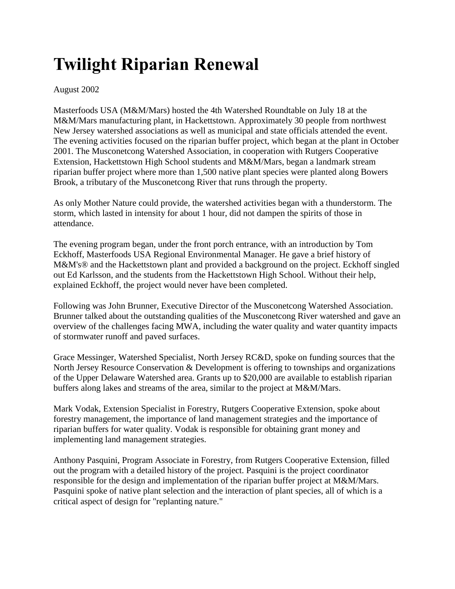## **Twilight Riparian Renewal**

## August 2002

Masterfoods USA (M&M/Mars) hosted the 4th Watershed Roundtable on July 18 at the M&M/Mars manufacturing plant, in Hackettstown. Approximately 30 people from northwest New Jersey watershed associations as well as municipal and state officials attended the event. The evening activities focused on the riparian buffer project, which began at the plant in October 2001. The Musconetcong Watershed Association, in cooperation with Rutgers Cooperative Extension, Hackettstown High School students and M&M/Mars, began a landmark stream riparian buffer project where more than 1,500 native plant species were planted along Bowers Brook, a tributary of the Musconetcong River that runs through the property.

As only Mother Nature could provide, the watershed activities began with a thunderstorm. The storm, which lasted in intensity for about 1 hour, did not dampen the spirits of those in attendance.

The evening program began, under the front porch entrance, with an introduction by Tom Eckhoff, Masterfoods USA Regional Environmental Manager. He gave a brief history of M&M's® and the Hackettstown plant and provided a background on the project. Eckhoff singled out Ed Karlsson, and the students from the Hackettstown High School. Without their help, explained Eckhoff, the project would never have been completed.

Following was John Brunner, Executive Director of the Musconetcong Watershed Association. Brunner talked about the outstanding qualities of the Musconetcong River watershed and gave an overview of the challenges facing MWA, including the water quality and water quantity impacts of stormwater runoff and paved surfaces.

Grace Messinger, Watershed Specialist, North Jersey RC&D, spoke on funding sources that the North Jersey Resource Conservation & Development is offering to townships and organizations of the Upper Delaware Watershed area. Grants up to \$20,000 are available to establish riparian buffers along lakes and streams of the area, similar to the project at M&M/Mars.

Mark Vodak, Extension Specialist in Forestry, Rutgers Cooperative Extension, spoke about forestry management, the importance of land management strategies and the importance of riparian buffers for water quality. Vodak is responsible for obtaining grant money and implementing land management strategies.

Anthony Pasquini, Program Associate in Forestry, from Rutgers Cooperative Extension, filled out the program with a detailed history of the project. Pasquini is the project coordinator responsible for the design and implementation of the riparian buffer project at M&M/Mars. Pasquini spoke of native plant selection and the interaction of plant species, all of which is a critical aspect of design for "replanting nature."